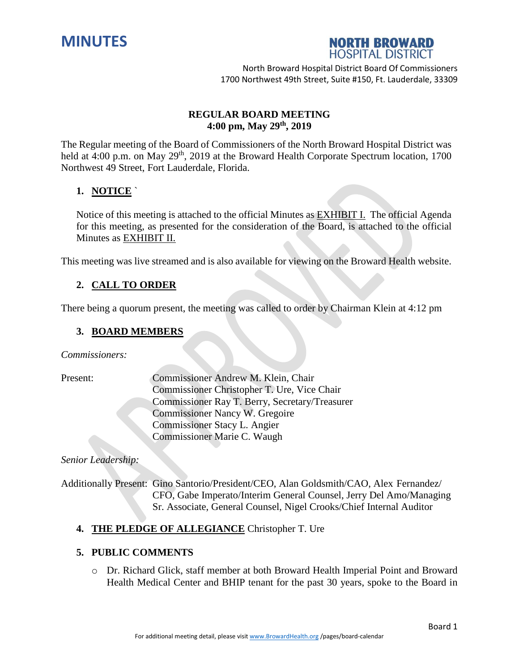



## **REGULAR BOARD MEETING 4:00 pm, May 29 th , 2019**

The Regular meeting of the Board of Commissioners of the North Broward Hospital District was held at 4:00 p.m. on May 29<sup>th</sup>, 2019 at the Broward Health Corporate Spectrum location, 1700 Northwest 49 Street, Fort Lauderdale, Florida.

# **1. NOTICE** `

Notice of this meeting is attached to the official Minutes as EXHIBIT I. The official Agenda for this meeting, as presented for the consideration of the Board, is attached to the official Minutes as EXHIBIT II.

This meeting was live streamed and is also available for viewing on the Broward Health website.

# **2. CALL TO ORDER**

There being a quorum present, the meeting was called to order by Chairman Klein at 4:12 pm

## **3. BOARD MEMBERS**

*Commissioners:*

Present: Commissioner Andrew M. Klein, Chair Commissioner Christopher T. Ure, Vice Chair Commissioner Ray T. Berry, Secretary/Treasurer Commissioner Nancy W. Gregoire Commissioner Stacy L. Angier Commissioner Marie C. Waugh

*Senior Leadership:*

Additionally Present: Gino Santorio/President/CEO, Alan Goldsmith/CAO, Alex Fernandez/ CFO, Gabe Imperato/Interim General Counsel, Jerry Del Amo/Managing Sr. Associate, General Counsel, Nigel Crooks/Chief Internal Auditor

### **4. THE PLEDGE OF ALLEGIANCE** Christopher T. Ure

### **5. PUBLIC COMMENTS**

o Dr. Richard Glick, staff member at both Broward Health Imperial Point and Broward Health Medical Center and BHIP tenant for the past 30 years, spoke to the Board in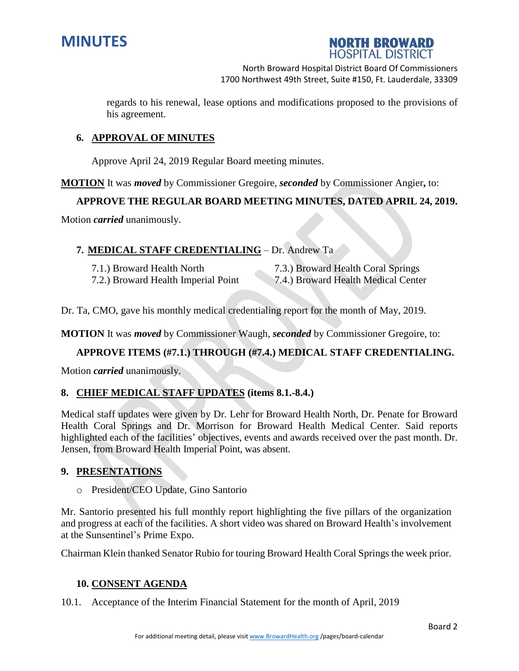



regards to his renewal, lease options and modifications proposed to the provisions of his agreement.

### **6. APPROVAL OF MINUTES**

Approve April 24, 2019 Regular Board meeting minutes.

**MOTION** It was *moved* by Commissioner Gregoire, *seconded* by Commissioner Angier**,** to:

### **APPROVE THE REGULAR BOARD MEETING MINUTES, DATED APRIL 24, 2019.**

Motion *carried* unanimously.

#### **7. MEDICAL STAFF CREDENTIALING** – Dr. Andrew Ta

7.1.) Broward Health North 7.3.) Broward Health Coral Springs 7.2.) Broward Health Imperial Point 7.4.) Broward Health Medical Center

Dr. Ta, CMO, gave his monthly medical credentialing report for the month of May, 2019.

**MOTION** It was *moved* by Commissioner Waugh, *seconded* by Commissioner Gregoire, to:

### **APPROVE ITEMS (#7.1.) THROUGH (#7.4.) MEDICAL STAFF CREDENTIALING.**

Motion *carried* unanimously.

### **8. CHIEF MEDICAL STAFF UPDATES (items 8.1.-8.4.)**

Medical staff updates were given by Dr. Lehr for Broward Health North, Dr. Penate for Broward Health Coral Springs and Dr. Morrison for Broward Health Medical Center. Said reports highlighted each of the facilities' objectives, events and awards received over the past month. Dr. Jensen, from Broward Health Imperial Point, was absent.

### **9. PRESENTATIONS**

o President/CEO Update, Gino Santorio

Mr. Santorio presented his full monthly report highlighting the five pillars of the organization and progress at each of the facilities. A short video was shared on Broward Health's involvement at the Sunsentinel's Prime Expo.

Chairman Klein thanked Senator Rubio for touring Broward Health Coral Springs the week prior.

### **10. CONSENT AGENDA**

10.1. Acceptance of the Interim Financial Statement for the month of April, 2019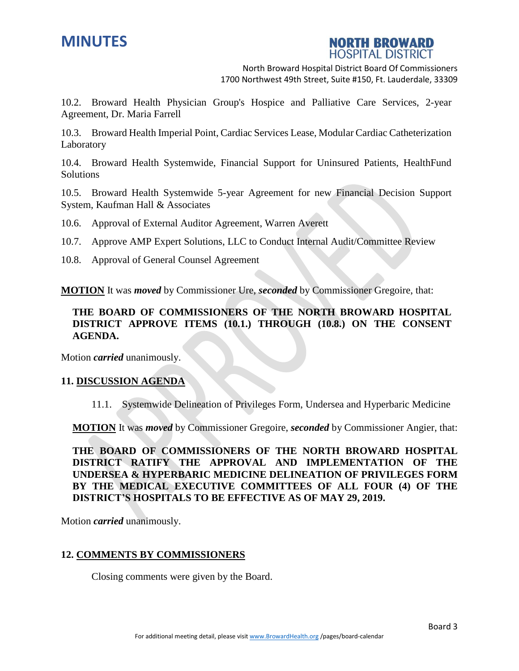



10.2. Broward Health Physician Group's Hospice and Palliative Care Services, 2-year Agreement, Dr. Maria Farrell

10.3. Broward Health Imperial Point, Cardiac Services Lease, Modular Cardiac Catheterization Laboratory

10.4. Broward Health Systemwide, Financial Support for Uninsured Patients, HealthFund Solutions

10.5. Broward Health Systemwide 5-year Agreement for new Financial Decision Support System, Kaufman Hall & Associates

10.6. Approval of External Auditor Agreement, Warren Averett

10.7. Approve AMP Expert Solutions, LLC to Conduct Internal Audit/Committee Review

10.8. Approval of General Counsel Agreement

**MOTION** It was *moved* by Commissioner Ure, *seconded* by Commissioner Gregoire, that:

## **THE BOARD OF COMMISSIONERS OF THE NORTH BROWARD HOSPITAL DISTRICT APPROVE ITEMS (10.1.) THROUGH (10.8.) ON THE CONSENT AGENDA.**

Motion *carried* unanimously.

#### **11. DISCUSSION AGENDA**

11.1. Systemwide Delineation of Privileges Form, Undersea and Hyperbaric Medicine

**MOTION** It was *moved* by Commissioner Gregoire, *seconded* by Commissioner Angier, that:

**THE BOARD OF COMMISSIONERS OF THE NORTH BROWARD HOSPITAL DISTRICT RATIFY THE APPROVAL AND IMPLEMENTATION OF THE UNDERSEA & HYPERBARIC MEDICINE DELINEATION OF PRIVILEGES FORM BY THE MEDICAL EXECUTIVE COMMITTEES OF ALL FOUR (4) OF THE DISTRICT'S HOSPITALS TO BE EFFECTIVE AS OF MAY 29, 2019.**

Motion *carried* unanimously.

#### **12. COMMENTS BY COMMISSIONERS**

Closing comments were given by the Board.